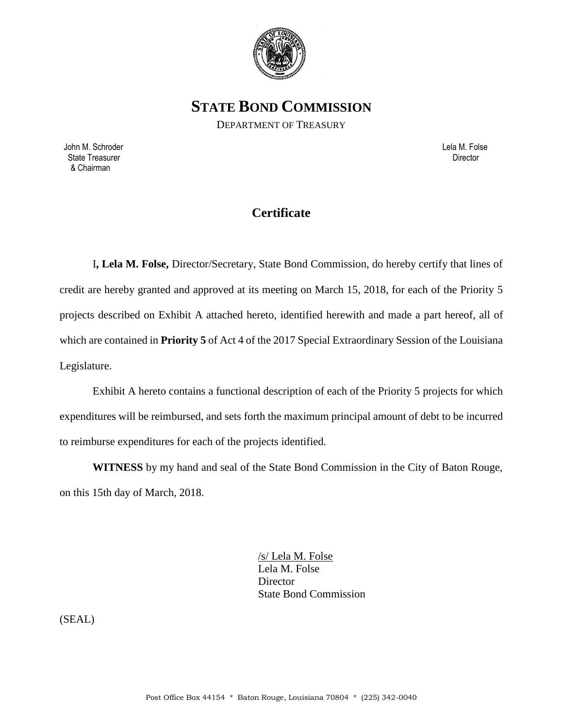

**STATE BOND COMMISSION**

DEPARTMENT OF TREASURY

 John M. Schroder Lela M. Folse State Treasurer **Director Director Director Director Director Director Director Director** & Chairman

## **Certificate**

I**, Lela M. Folse,** Director/Secretary, State Bond Commission, do hereby certify that lines of credit are hereby granted and approved at its meeting on March 15, 2018, for each of the Priority 5 projects described on Exhibit A attached hereto, identified herewith and made a part hereof, all of which are contained in **Priority 5** of Act 4 of the 2017 Special Extraordinary Session of the Louisiana Legislature.

Exhibit A hereto contains a functional description of each of the Priority 5 projects for which expenditures will be reimbursed, and sets forth the maximum principal amount of debt to be incurred to reimburse expenditures for each of the projects identified.

**WITNESS** by my hand and seal of the State Bond Commission in the City of Baton Rouge, on this 15th day of March, 2018.

> /s/ Lela M. Folse Lela M. Folse **Director** State Bond Commission

(SEAL)